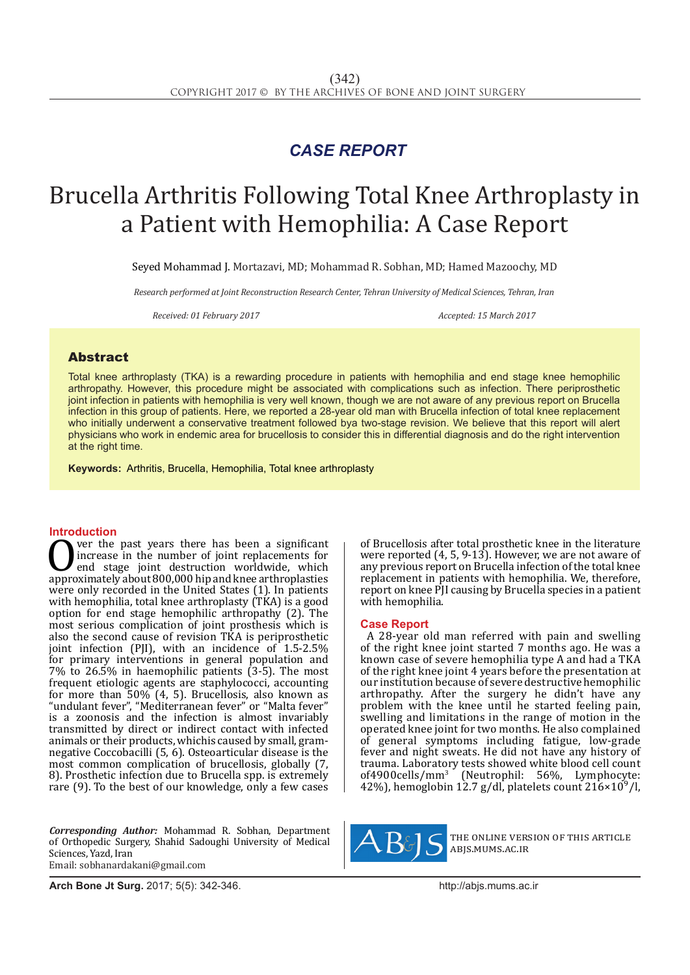## *CASE REPORT*

# Brucella Arthritis Following Total Knee Arthroplasty in a Patient with Hemophilia: A Case Report

Seyed Mohammad J. Mortazavi, MD; Mohammad R. Sobhan, MD; Hamed Mazoochy, MD

*Research performed at Joint Reconstruction Research Center, Tehran University of Medical Sciences, Tehran, Iran*

*Received: 01 February 2017 Accepted: 15 March 2017*

### Abstract

Total knee arthroplasty (TKA) is a rewarding procedure in patients with hemophilia and end stage knee hemophilic arthropathy. However, this procedure might be associated with complications such as infection. There periprosthetic joint infection in patients with hemophilia is very well known, though we are not aware of any previous report on Brucella infection in this group of patients. Here, we reported a 28-year old man with Brucella infection of total knee replacement who initially underwent a conservative treatment followed bya two-stage revision. We believe that this report will alert physicians who work in endemic area for brucellosis to consider this in differential diagnosis and do the right intervention at the right time.

**Keywords:** Arthritis, Brucella, Hemophilia, Total knee arthroplasty

**Introduction**<br>**C** ver the past years there has been a significant Over the past years there has been a significant<br>
increase in the number of joint replacements for<br>
approximately about 800,000 hip and knee arthroplasties<br>
were only recorded in the United States (1) In patients increase in the number of joint replacements for end stage joint destruction worldwide, which were only recorded in the United States (1). In patients with hemophilia, total knee arthroplasty (TKA) is a good option for end stage hemophilic arthropathy (2). The most serious complication of joint prosthesis which is also the second cause of revision TKA is periprosthetic joint infection (PJI), with an incidence of 1.5-2.5% for primary interventions in general population and 7% to 26.5% in haemophilic patients (3-5). The most frequent etiologic agents are staphylococci, accounting for more than 50% (4, 5). Brucellosis, also known as "undulant fever", "Mediterranean fever" or "Malta fever" is a zoonosis and the infection is almost invariably transmitted by direct or indirect contact with infected animals or their products, whichis caused by small, gramnegative Coccobacilli (5, 6). Osteoarticular disease is the most common complication of brucellosis, globally (7, 8). Prosthetic infection due to Brucella spp. is extremely rare (9). To the best of our knowledge, only a few cases

*Corresponding Author:* Mohammad R. Sobhan, Department of Orthopedic Surgery, Shahid Sadoughi University of Medical Sciences, Yazd, Iran Email: sobhanardakani@gmail.com

of Brucellosis after total prosthetic knee in the literature were reported (4, 5, 9-13). However, we are not aware of any previous report on Brucella infection of the total knee replacement in patients with hemophilia. We, therefore, report on knee PJI causing by Brucella species in a patient with hemophilia.

#### **Case Report**

A 28-year old man referred with pain and swelling of the right knee joint started 7 months ago. He was a known case of severe hemophilia type A and had a TKA of the right knee joint 4 years before the presentation at our institution because of severe destructive hemophilic arthropathy. After the surgery he didn't have any problem with the knee until he started feeling pain, swelling and limitations in the range of motion in the operated knee joint for two months. He also complained of general symptoms including fatigue, low-grade fever and night sweats. He did not have any history of trauma. Laboratory tests showed white blood cell count of4900cells/mm<sup>3</sup> (Neutrophil: 56%, Lymphocyte: 42%), hemoglobin 12.7 g/dl, platelets count  $216\times10^{9}$ /l,



the online version of this article abjs.mums.ac.ir

**Arch Bone Jt Surg.** 2017; 5(5): 342-346.http://abjs.mums.ac.ir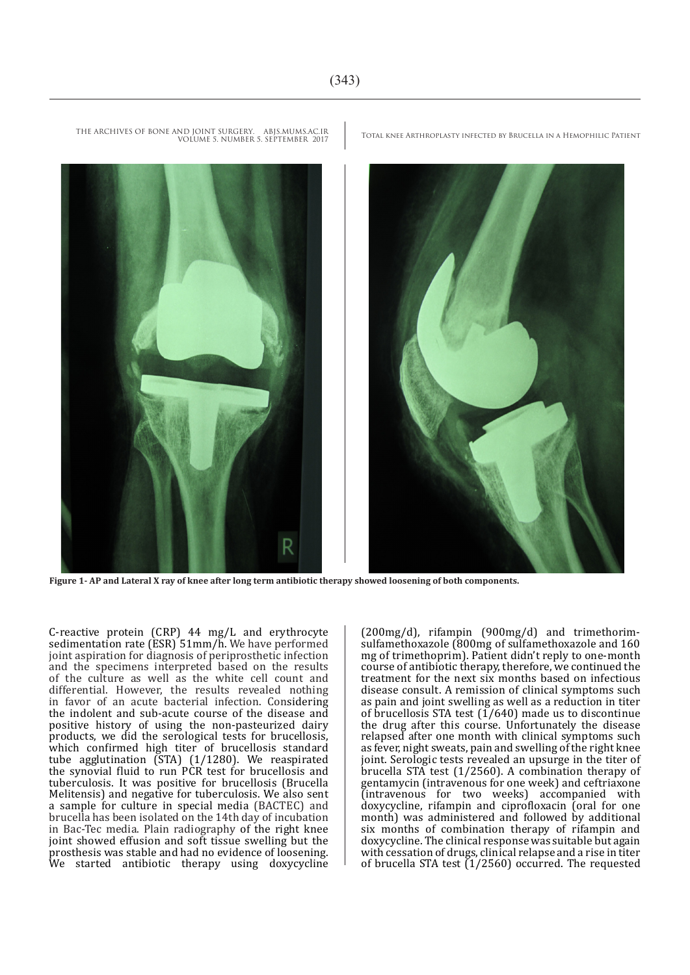

THE ARCHIVES OF BONE AND JOINT SURGERY. ABJS.MUMS.AC.IR TOTAL KNEE ARTHROPLASTY INFECTED BY BRUCELLA IN A HEMOPHILIC PATIENT VOLUME 5. NUMBER 5. SEPTEMBER 2017

**Figure 1- AP and Lateral X ray of knee after long term antibiotic therapy showed loosening of both components.**

C-reactive protein (CRP) 44 mg/L and erythrocyte sedimentation rate (ESR) 51mm/h. We have performed joint aspiration for diagnosis of periprosthetic infection and the specimens interpreted based on the results of the culture as well as the white cell count and differential. However, the results revealed nothing in favor of an acute bacterial infection. Considering the indolent and sub-acute course of the disease and positive history of using the non-pasteurized dairy products, we did the serological tests for brucellosis, which confirmed high titer of brucellosis standard tube agglutination (STA) (1/1280). We reaspirated the synovial fluid to run PCR test for brucellosis and tuberculosis. It was positive for brucellosis (Brucella Melitensis) and negative for tuberculosis. We also sent a sample for culture in special media (BACTEC) and brucella has been isolated on the 14th day of incubation in Bac-Tec media. Plain radiography of the right knee joint showed effusion and soft tissue swelling but the prosthesis was stable and had no evidence of loosening. We started antibiotic therapy using doxycycline

(200mg/d), rifampin (900mg/d) and trimethorimsulfamethoxazole (800mg of sulfamethoxazole and 160 mg of trimethoprim). Patient didn't reply to one-month course of antibiotic therapy, therefore, we continued the treatment for the next six months based on infectious disease consult. A remission of clinical symptoms such as pain and joint swelling as well as a reduction in titer of brucellosis STA test  $(1/640)$  made us to discontinue the drug after this course. Unfortunately the disease relapsed after one month with clinical symptoms such as fever, night sweats, pain and swelling of the right knee joint. Serologic tests revealed an upsurge in the titer of brucella STA test (1/2560). A combination therapy of gentamycin (intravenous for one week) and ceftriaxone (intravenous for two weeks) accompanied with doxycycline, rifampin and ciprofloxacin (oral for one month) was administered and followed by additional six months of combination therapy of rifampin and doxycycline. The clinical response was suitable but again with cessation of drugs, clinical relapse and a rise in titer of brucella STA test  $(1/2560)$  occurred. The requested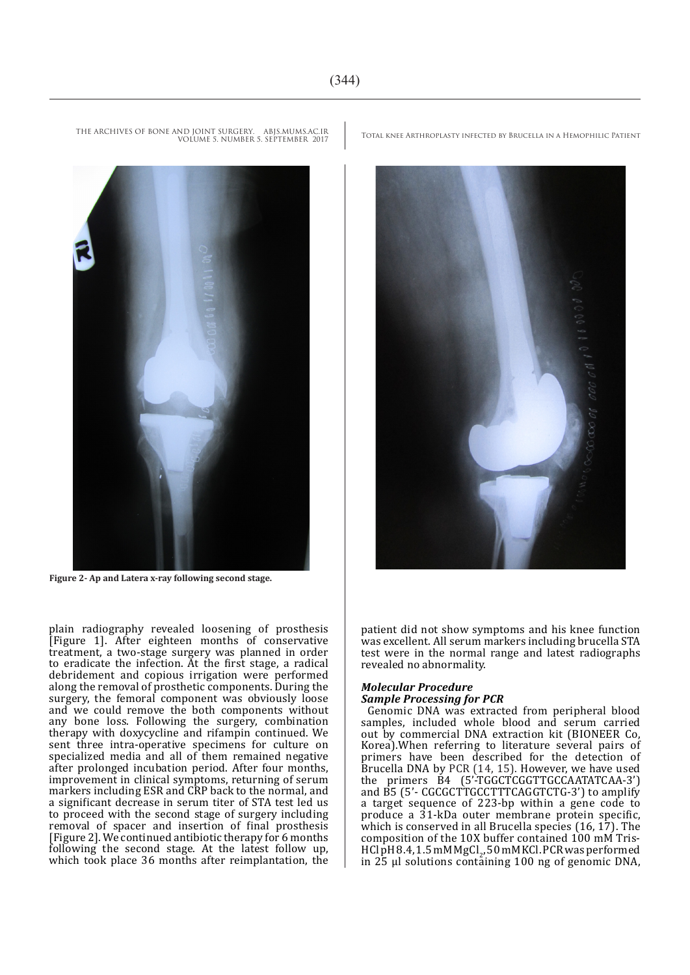VOLUME 5. NUMBER 5. SEPTEMBER 2017

**Figure 2- Ap and Latera x-ray following second stage.**

plain radiography revealed loosening of prosthesis [Figure 1]. After eighteen months of conservative treatment, a two-stage surgery was planned in order to eradicate the infection. At the first stage, a radical debridement and copious irrigation were performed along the removal of prosthetic components. During the surgery, the femoral component was obviously loose and we could remove the both components without any bone loss. Following the surgery, combination therapy with doxycycline and rifampin continued. We sent three intra-operative specimens for culture on specialized media and all of them remained negative after prolonged incubation period. After four months, improvement in clinical symptoms, returning of serum markers including ESR and CRP back to the normal, and a significant decrease in serum titer of STA test led us to proceed with the second stage of surgery including removal of spacer and insertion of final prosthesis [Figure 2]. We continued antibiotic therapy for 6 months following the second stage. At the latest follow up, which took place 36 months after reimplantation, the

THE ARCHIVES OF BONE AND JOINT SURGERY. ABJS.MUMS.AC.IR TOTAL KNEE ARTHROPLASTY INFECTED BY BRUCELLA IN A HEMOPHILIC PATIENT

patient did not show symptoms and his knee function was excellent. All serum markers including brucella STA test were in the normal range and latest radiographs revealed no abnormality.

#### *Molecular Procedure Sample Processing for PCR*

Genomic DNA was extracted from peripheral blood samples, included whole blood and serum carried out by commercial DNA extraction kit (BIONEER Co, Korea).When referring to literature several pairs of primers have been described for the detection of Brucella DNA by PCR (14, 15). However, we have used the primers B4 (5'-TGGCTCGGTTGCCAATATCAA-3') and B5 (5'- CGCGCTTGCCTTTCAGGTCTG-3') to amplify a target sequence of 223-bp within a gene code to produce a 31-kDa outer membrane protein specific, which is conserved in all Brucella species (16, 17). The composition of the 10X buffer contained 100 mM Tris-HCl pH 8.4, 1.5 mM MgCl<sub>2</sub>, 50 mM KCl. PCR was performed<br>in 25 al selutions containing 100 ng ef generais DNA in 25 μl solutions containing 100 ng of genomic DNA,



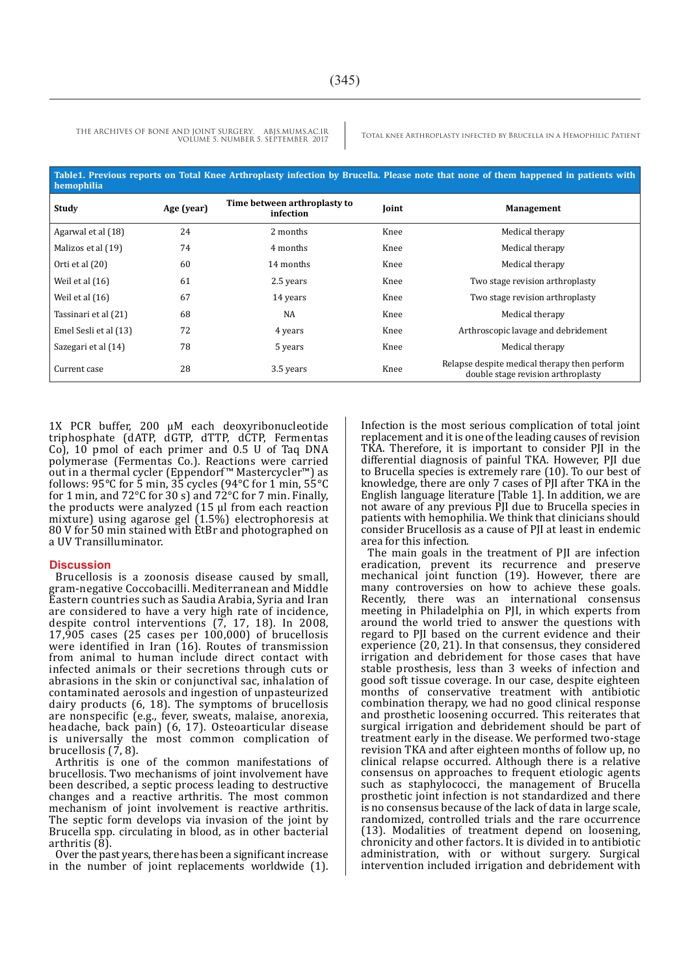THE ARCHIVES OF BONE AND JOINT SURGERY. ABJS.MUMS.AC.IR<br>VOUWER & BRUCELLA IN A HEMOPHILIC PATIENT VOLUME 5. NUMBER 5. SEPTEMBER 2017

| Table1. Previous reports on Total Knee Arthroplasty infection by Brucella. Please note that none of them happened in patients with<br>hemophilia |            |                                           |       |                                                                                    |
|--------------------------------------------------------------------------------------------------------------------------------------------------|------------|-------------------------------------------|-------|------------------------------------------------------------------------------------|
| Study                                                                                                                                            | Age (year) | Time between arthroplasty to<br>infection | Joint | <b>Management</b>                                                                  |
| Agarwal et al (18)                                                                                                                               | 24         | 2 months                                  | Knee  | Medical therapy                                                                    |
| Malizos et al (19)                                                                                                                               | 74         | 4 months                                  | Knee  | Medical therapy                                                                    |
| Orti et al (20)                                                                                                                                  | 60         | 14 months                                 | Knee  | Medical therapy                                                                    |
| Weil et al $(16)$                                                                                                                                | 61         | 2.5 years                                 | Knee  | Two stage revision arthroplasty                                                    |
| Weil et al $(16)$                                                                                                                                | 67         | 14 years                                  | Knee  | Two stage revision arthroplasty                                                    |
| Tassinari et al (21)                                                                                                                             | 68         | NA                                        | Knee  | Medical therapy                                                                    |
| Emel Sesli et al (13)                                                                                                                            | 72         | 4 years                                   | Knee  | Arthroscopic lavage and debridement                                                |
| Sazegari et al (14)                                                                                                                              | 78         | 5 years                                   | Knee  | Medical therapy                                                                    |
| Current case                                                                                                                                     | 28         | 3.5 years                                 | Knee  | Relapse despite medical therapy then perform<br>double stage revision arthroplasty |

1X PCR buffer, 200 μM each deoxyribonucleotide triphosphate (dATP, dGTP, dTTP, dCTP, Fermentas Co), 10 pmol of each primer and 0.5 U of Taq DNA polymerase (Fermentas Co.). Reactions were carried out in a thermal cycler (Eppendorf™ Mastercycler™) as follows: 95°C for 5 min, 35 cycles (94°C for 1 min, 55°C for 1 min, and 72 $\degree$ C for 30 s) and 72 $\degree$ C for 7 min. Finally, the products were analyzed (15 μl from each reaction mixture) using agarose gel (1.5%) electrophoresis at 80 V for 50 min stained with EtBr and photographed on a UV Transilluminator.

#### **Discussion**

Brucellosis is a zoonosis disease caused by small, gram-negative Coccobacilli. Mediterranean and Middle Eastern countries such as Saudia Arabia, Syria and Iran are considered to have a very high rate of incidence, despite control interventions (7, 17, 18). In 2008, 17,905 cases (25 cases per 100,000) of brucellosis were identified in Iran (16). Routes of transmission from animal to human include direct contact with infected animals or their secretions through cuts or abrasions in the skin or conjunctival sac, inhalation of contaminated aerosols and ingestion of unpasteurized dairy products (6, 18). The symptoms of brucellosis are nonspecific (e.g., fever, sweats, malaise, anorexia, headache, back pain) (6, 17). Osteoarticular disease is universally the most common complication of brucellosis (7, 8).

Arthritis is one of the common manifestations of brucellosis. Two mechanisms of joint involvement have been described, a septic process leading to destructive changes and a reactive arthritis. The most common mechanism of joint involvement is reactive arthritis. The septic form develops via invasion of the joint by Brucella spp. circulating in blood, as in other bacterial arthritis (8).

Over the past years, there has been a significant increase in the number of joint replacements worldwide (1). Infection is the most serious complication of total joint replacement and it is one of the leading causes of revision TKA. Therefore, it is important to consider PJI in the differential diagnosis of painful TKA. However, PJI due to Brucella species is extremely rare (10). To our best of knowledge, there are only 7 cases of PJI after TKA in the English language literature [Table 1]. In addition, we are not aware of any previous PJI due to Brucella species in patients with hemophilia. We think that clinicians should consider Brucellosis as a cause of PJI at least in endemic area for this infection.

The main goals in the treatment of PJI are infection eradication, prevent its recurrence and preserve mechanical joint function (19). However, there are many controversies on how to achieve these goals. Recently, there was an international consensus meeting in Philadelphia on PJI, in which experts from around the world tried to answer the questions with regard to PJI based on the current evidence and their experience (20, 21). In that consensus, they considered irrigation and debridement for those cases that have stable prosthesis, less than 3 weeks of infection and good soft tissue coverage. In our case, despite eighteen months of conservative treatment with antibiotic combination therapy, we had no good clinical response and prosthetic loosening occurred. This reiterates that surgical irrigation and debridement should be part of treatment early in the disease. We performed two-stage revision TKA and after eighteen months of follow up, no clinical relapse occurred. Although there is a relative consensus on approaches to frequent etiologic agents such as staphylococci, the management of Brucella prosthetic joint infection is not standardized and there is no consensus because of the lack of data in large scale, randomized, controlled trials and the rare occurrence (13). Modalities of treatment depend on loosening, chronicity and other factors. It is divided in to antibiotic administration, with or without surgery. Surgical intervention included irrigation and debridement with